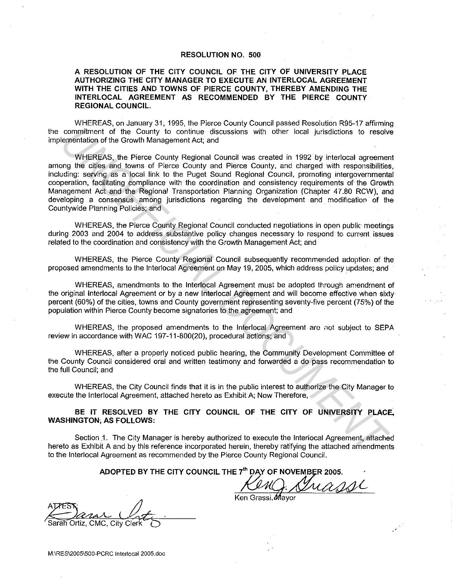## **RESOLUTION NO. 500**

## **A RESOLUTION OF THE CITY COUNCIL OF THE CITY OF UNIVERSITY PLACE AUTHORIZING THE CITY MANAGER TO EXECUTE AN INTERLOCAL AGREEMENT WITH THE CITIES AND TOWNS OF PIERCE COUNTY, THEREBY AMENDING THE INTERLOCAL AGREEMENT AS RECOMMENDED BY THE PIERCE COUNTY REGIONAL COUNCIL.**

WHEREAS, on January 31, 1995. the Pierce County Council passed Resolution R95-17 affirming the commitment of the County to continue discussions with other local jurisdictions to resolve implementation of the Growth Management Act; and

WHEREAS, the Pierce County Regional Council was created in 1992 by interlocal agreement among the cities and towns of Pierce County and Pierce County, and charged with responsibilities, including: serving as a local link to the Puget Sound Regional Council, promoting intergovernmental cooperation, facilitating compliance with the coordination and consistency requirements of the Growth Management Act and the Regional Transportation Planning Organization (Chapter 47.80 RCW), and developing a consensus among jurisdictions regarding the development and modification of the Countywide Planning Policies; and commitment of the Country to confirming discussions with other local jurisdictions to resolute the country of the Country of confirming the clust of the confirming the properties of the confirming the properties of the Pla

WHEREAS, the Pierce County Regional Council conducted negotiations in open public meetings during 2003 and 2004 to address substantive policy changes necessary to respond to current issues related to the coordination and consistency with the Growth Management Act; and

WHEREAS, the Pierce County Regional Council subsequently recommended adoption of the proposed amendments to the lnterlocal Agreement on May 19, 2005, which address policy updates; and

WHEREAS, amendments to the lnterlocal Agreement must be adopted through amendment of the original lnterlocal Agreement or by a new lnterlocal Agreement and will become effective when sixty· percent (60%) of the cities, towns and County government representing seventy-five percent (75%) of the population within Pierce County become signatories to the agreement; and

WHEREAS, the proposed amendments to the lnterlocal Agreement are not subject to SEPA review in accordance with WAC 197-11-800(20), procedural actions; and

WHEREAS, after a properly noticed public hearing, the Community Development Committee of the County Council considered oral and written testimony and forwarded a do pass recommendation to the full Council; and

WHEREAS, the City Council finds that it is in the public interest to authorize the City Manager to execute the lnterlocal Agreement, attached hereto as Exhibit A; Now Therefore,

**BE IT RESOLVED BY THE CITY COUNCIL OF THE CITY OF UNIVERSITY PLACE, WASHINGTON; AS FOLLOWS:** 

Section 1. The City Manager is hereby authorized to execute the lnteriocal Agreement, atiached hereto as Exhibit A and by this reference incorporated herein, thereby ratifying the attached amendments to the lnterlocal Agreement as recommended by the Pierce County Regional Council.

ADOPTED BY THE CITY COUNCIL THE 7<sup>th</sup> DAY OF NOVEMBER 2005.

 $A \times S$   $\uparrow$   $\uparrow$   $\uparrow$   $\uparrow$  $\alpha$  . Lite

Ken Grassi, Mavor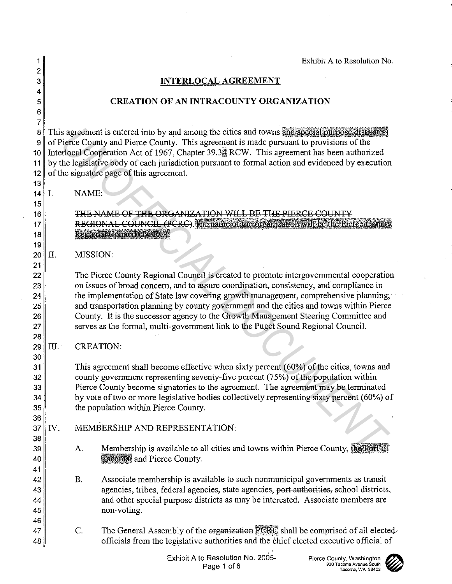**CREATION OF AN INTRACOUNTY ORGANIZATION**  8 This agreement is entered into by and among the cities and towns and special purpose district(s) 9 of Pierce County and Pierce County. This agreement is made pursuant to provisions of the 10 Interlocal Cooperation Act of 1967, Chapter 39.3. RCW. This agreement has been authorized 11 by the legislative body of each jurisdiction pursuant to formal action and evidenced by execution 12 of the signature page of this agreement. The Pierce County Regional Council is created to promote intergovernmental cooperation on issues of broad concern, and to assure coordination, consistency, and compliance in the implementation of State law covering growth management, comprehensive planning; and transportation planning by county government and the cities and towns within Pierce County. It is the successor agency to the Growth Management Steering Committee and serves as the formal, multi-government link to the Puget Sound Regional Council.  $31$  This agreement shall become effective when sixty percent (60%) of the cities, towns and  $32$  county government representing seventy-five percent (75%) of the population within 33 Pierce County become signatories to the agreement. The agreement may be terminated  $34$  by vote of two or more legislative bodies collectively representing sixty percent (60%) of  $35$  the population within Pierce County. MEMBERSHIP AND REPRESENTATION: *Sinces* comby and Prece County. This agreement is made putsual in provisions of the bience County and Prece County. This agreement is made putsuant to provisions of the constrained in the constrained in the signature page

**INTERLOCAL AGREEMENT** 

13

 $14$  I. NAME:

MISSION:

CREATION:

- A. Membership is available to all cities and towns within Pierce County, the Port of Tacoma, and Pierce County.
- B. Associate membership is available to such nonmunicipal governments as transit agencies, tribes, federal agencies, state agencies, port authorities, school districts, and other special purpose districts as may be interested. Associate members are non-voting.
- c. The General Assembly of the organization PCRC shall be comprised of all electedofficials from the legislative authorities and the chief elected executive official of

Exhibit A to Resolution No.

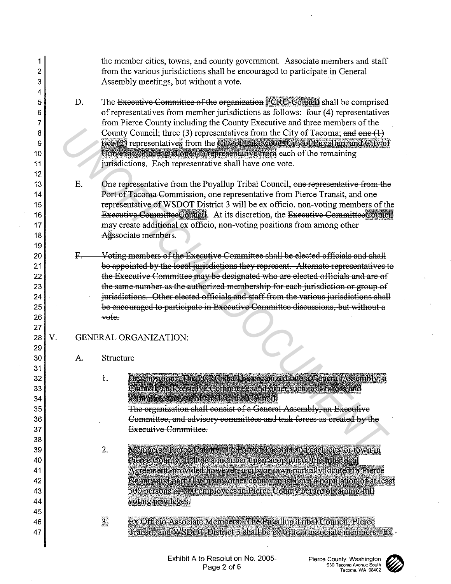| 1<br>2<br>3<br>4 |    |    | the member cities, towns, and county government. Associate members and staff<br>from the various jurisdictions shall be encouraged to participate in General<br>Assembly meetings, but without a vote.                                                   |  |  |  |  |  |  |
|------------------|----|----|----------------------------------------------------------------------------------------------------------------------------------------------------------------------------------------------------------------------------------------------------------|--|--|--|--|--|--|
| 5<br>6<br>7      |    | D. | The Executive Committee of the organization PCRC-Council shall be comprised<br>of representatives from member jurisdictions as follows: four (4) representatives<br>from Pierce County including the County Executive and three members of the           |  |  |  |  |  |  |
| 8<br>9           |    |    | County Council; three (3) representatives from the City of Tacoma; and one (1)<br>two (2) representatives from the City of Lakewood, City of Puyallup, and City of                                                                                       |  |  |  |  |  |  |
| 10<br>11<br>12   |    |    | University Place and one (1) representative from each of the remaining<br>jurisdictions. Each representative shall have one vote.                                                                                                                        |  |  |  |  |  |  |
| 13<br>14         |    | Ε. | One representative from the Puyallup Tribal Council, one representative from the<br>Port of Tacoma-Commission, one representative from Pierce Transit, and one                                                                                           |  |  |  |  |  |  |
| 15<br>16<br>17   |    |    | representative of WSDOT District 3 will be ex officio, non-voting members of the<br>Executive Committee Committee Committee Committee Committee Council<br>may create additional ex officio, non-voting positions from among other                       |  |  |  |  |  |  |
| 18<br>19         |    |    | Aassociate members.                                                                                                                                                                                                                                      |  |  |  |  |  |  |
| 20<br>21<br>22   |    | Ε. | Voting members of the Executive Committee shall be elected officials and shall<br>be appointed by the local jurisdictions they represent. Alternate representatives to<br>the Executive Committee may be designated who are elected officials and are of |  |  |  |  |  |  |
| 23<br>24         |    |    | the same number as the authorized membership for each jurisdiction or group of<br>jurisdictions. Other elected officials and staff from the various jurisdictions shall                                                                                  |  |  |  |  |  |  |
| 25<br>26<br>27   |    |    | be encouraged to participate in Executive Committee discussions, but without a<br>vote.                                                                                                                                                                  |  |  |  |  |  |  |
| 28<br>29         | V. |    | GENERAL ORGANIZATION:                                                                                                                                                                                                                                    |  |  |  |  |  |  |
| 30<br>31<br>32   |    | А. | Structure<br>Organizationza the RCRC Shall be organized into a General Assembly, a                                                                                                                                                                       |  |  |  |  |  |  |
| 33<br>34         |    |    | 1.<br>Comoisan Excempe Commutee and othersuch ask forces and<br>committees as established by the Council                                                                                                                                                 |  |  |  |  |  |  |
| 35<br>36         |    |    | The organization shall consist of a General Assembly, an Executive<br>Committee, and advisory committees and task-forces as created by the                                                                                                               |  |  |  |  |  |  |
| 37<br>38<br>39   |    |    | <b>Executive Committee.</b><br>Members: Pierce County, the Port of Tacoma and each city or town in<br>2.                                                                                                                                                 |  |  |  |  |  |  |
| 40<br>41         |    |    | Pierce County shall be a member upon adoption of the Interlocal<br>Agreement, provided however, a city or town partially located in Pierce                                                                                                               |  |  |  |  |  |  |
| 42<br>43         |    |    | County and partially in any other county must have a population of at least<br>500 persons or 500 employees in Pierce County before obtaining full<br>voting privileges.                                                                                 |  |  |  |  |  |  |
|                  |    |    |                                                                                                                                                                                                                                                          |  |  |  |  |  |  |
| 44<br>45<br>46   |    |    | $\overline{3}$<br>Ex Officio Associate Members: The Puyallup Tribal Council, Pierce                                                                                                                                                                      |  |  |  |  |  |  |

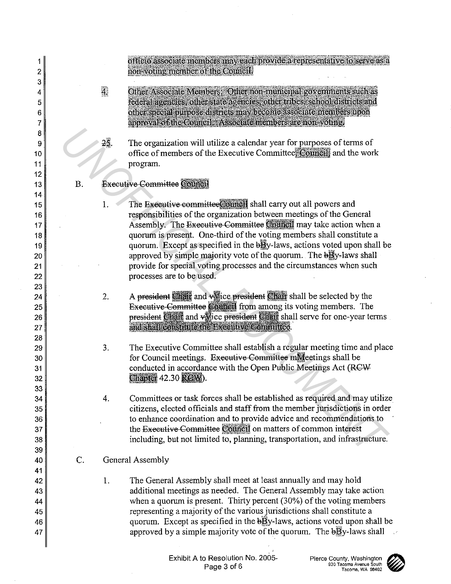officio associate members may each provide a representative to serve as a non volmementos orthe Council

- Other Associate Members: Other non-municipal governments such as  $\overline{4}$ federal agencies, other state agencies, other tribes, school districts and other special purpose districts may become associate members upon approval of the Council. Associate members are non-volute.
	- The organization will utilize a calendar year for purposes of terms of office of members of the Executive Committee. Council: and the work program.
- B. Executive Committee Council

I.

- The Executive committee Council shall carry out all powers and responsibilities of the organization between meetings of the General Assembly. The Executive Committee Council may take action when a quorum is present. One-third of the voting members shall constitute a quorum. Except as specified in the  $b\bar{B}v$ -laws, actions voted upon shall be approved by simple majority vote of the quorum. The  $b\bar{B}$  v-laws shall provide for special voting processes and the circumstances when such processes are to be used. 23. The organization will utilize a calendar year for purposes of terms of<br>office of members of the Executive Committee *Comparing* to the work<br>program.<br> **Processive Committee Comparison** and carry out all powers and<br>
res
	- 2. A president Chair and voice president Chair shall be selected by the Executive Committee Council from among its voting members. The president Chair and valice president Chair shall serve for one-year terms
	- 3. The Executive Committee shall establish a regular meeting time and place for Council meetings. Executive Committee miller ectings shall be conducted in accordance with the Open Public Meetings Act (RGW Chapter 42.30 RGW).
	- 4. Committees or task forces shall be established as required and may utilize citizens, elected officials and staff from the member jurisdictions in order to enhance coordination and to provide advice and recommendations to the Executive Committee Council on matters of common interest including, but not limited to, planning, transportation, and infrastructure.
	- c. General Assembly
		- I. The General Assembly shall meet at least annually and may hold additional meetings as needed. The General Assembly may take action when a quorum is present. Thirty percent (30%) of the voting members representing a majority of the various jurisdictions shall constitute a quorum. Except as specified in the  $b\bar{B}y$ -laws, actions voted upon shall be approved by a simple majority vote of the quorum. The  $\frac{1}{2}$ y-laws shall



47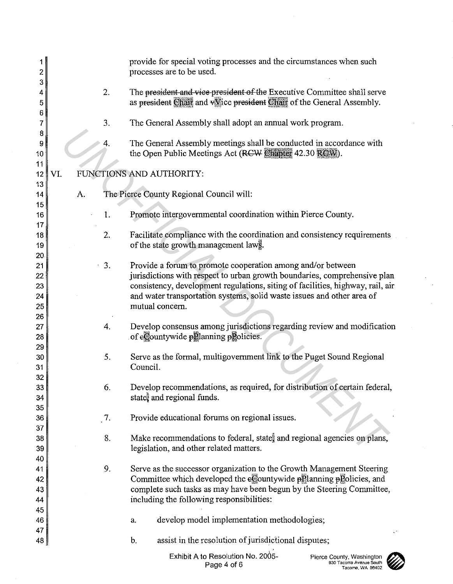| 1<br>2                           |              | provide for special voting processes and the circumstances when such<br>processes are to be used.                                                                                                                                                                                                                       |  |  |  |  |  |
|----------------------------------|--------------|-------------------------------------------------------------------------------------------------------------------------------------------------------------------------------------------------------------------------------------------------------------------------------------------------------------------------|--|--|--|--|--|
| 3<br>4<br>5                      | 2.           | The president and vice president of the Executive Committee shall serve<br>as president Chair and vice president Chair of the General Assembly.                                                                                                                                                                         |  |  |  |  |  |
| 6<br>7                           | 3.           | The General Assembly shall adopt an annual work program.                                                                                                                                                                                                                                                                |  |  |  |  |  |
| 8<br>9<br>10                     | 4.           | The General Assembly meetings shall be conducted in accordance with<br>the Open Public Meetings Act (RCW Chapter 42.30 RCW).                                                                                                                                                                                            |  |  |  |  |  |
| 11<br>12                         | VI.          | FUNCTIONS AND AUTHORITY:                                                                                                                                                                                                                                                                                                |  |  |  |  |  |
| 13<br>14                         | А.           | The Pierce County Regional Council will:                                                                                                                                                                                                                                                                                |  |  |  |  |  |
| 15<br>16                         | 1.           | Promote intergovernmental coordination within Pierce County.                                                                                                                                                                                                                                                            |  |  |  |  |  |
| 17<br>18<br>19                   | 2.           | Facilitate compliance with the coordination and consistency requirements<br>of the state growth management laws.                                                                                                                                                                                                        |  |  |  |  |  |
| 20<br>21<br>22<br>23<br>24<br>25 | $\cdot$ 3.   | Provide a forum to promote cooperation among and/or between<br>jurisdictions with respect to urban growth boundaries, comprehensive plan<br>consistency, development regulations, siting of facilities, highway, rail, air<br>and water transportation systems, solid waste issues and other area of<br>mutual concern. |  |  |  |  |  |
| 26<br>27<br>28                   | 4.           | Develop consensus among jurisdictions regarding review and modification<br>of eCountywide planning ploticies.                                                                                                                                                                                                           |  |  |  |  |  |
| 29<br>30<br>31                   | 5.           | Serve as the formal, multigovernment link to the Puget Sound Regional<br>Council.                                                                                                                                                                                                                                       |  |  |  |  |  |
| 32<br>33<br>34                   | 6.           | Develop recommendations, as required, for distribution of certain federal,<br>state, and regional funds.                                                                                                                                                                                                                |  |  |  |  |  |
| 35<br>36                         | $\sqrt{7}$ . | Provide educational forums on regional issues.                                                                                                                                                                                                                                                                          |  |  |  |  |  |
| 37<br>38<br>39                   | 8.           | Make recommendations to federal, states and regional agencies on plans,<br>legislation, and other related matters.                                                                                                                                                                                                      |  |  |  |  |  |
| 40<br>41<br>42<br>43<br>44       | 9.           | Serve as the successor organization to the Growth Management Steering<br>Committee which developed the eCountywide pPlanning pPolicies, and<br>complete such tasks as may have been begun by the Steering Committee,<br>including the following responsibilities:                                                       |  |  |  |  |  |
| 45<br>46<br>47                   |              | develop model implementation methodologies;<br>a.                                                                                                                                                                                                                                                                       |  |  |  |  |  |
| $48 \mid$                        |              | assist in the resolution of jurisdictional disputes;<br>b.                                                                                                                                                                                                                                                              |  |  |  |  |  |
|                                  |              | Exhibit A to Resolution No. 2005-<br>Pierce County, Washington<br>930 Tacoma Avenue South<br>Page 4 of 6<br>Tacoma, WA 98402                                                                                                                                                                                            |  |  |  |  |  |

 $\ddot{\phantom{a}}$ 

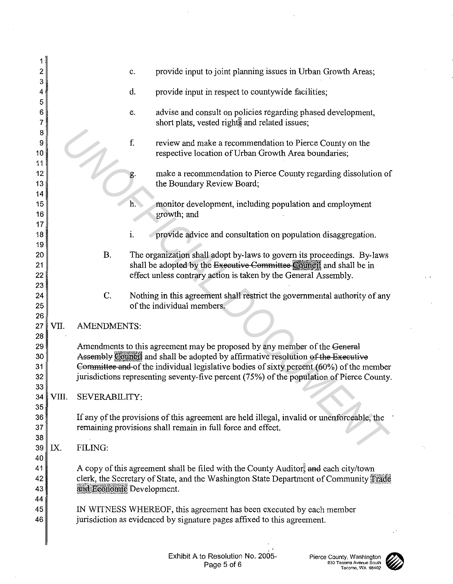| 2              |                                                                         |                           | c.        | provide input to joint planning issues in Urban Growth Areas;                                                    |  |  |  |
|----------------|-------------------------------------------------------------------------|---------------------------|-----------|------------------------------------------------------------------------------------------------------------------|--|--|--|
| 3<br>4         |                                                                         |                           | d.        | provide input in respect to countywide facilities;                                                               |  |  |  |
| 5<br>6<br>7    |                                                                         |                           | е.        | advise and consult on policies regarding phased development,<br>short plats, vested rights and related issues;   |  |  |  |
| 8<br>9<br>10   |                                                                         |                           | ${\bf f}$ | review and make a recommendation to Pierce County on the<br>respective location of Urban Growth Area boundaries; |  |  |  |
| 11<br>12<br>13 |                                                                         |                           | g.        | make a recommendation to Pierce County regarding dissolution of<br>the Boundary Review Board;                    |  |  |  |
| 14<br>15<br>16 |                                                                         |                           | $h$ .     | monitor development, including population and employment<br>growth; and                                          |  |  |  |
| 17<br>18       |                                                                         |                           | i.        | provide advice and consultation on population disaggregation.                                                    |  |  |  |
| 19             |                                                                         |                           |           |                                                                                                                  |  |  |  |
| 20             |                                                                         | <b>B.</b>                 |           | The organization shall adopt by-laws to govern its proceedings. By-laws                                          |  |  |  |
| 21             |                                                                         |                           |           | shall be adopted by the Executive Committee Council and shall be in                                              |  |  |  |
| 22             |                                                                         |                           |           | effect unless contrary action is taken by the General Assembly.                                                  |  |  |  |
| 23             |                                                                         |                           |           |                                                                                                                  |  |  |  |
| 24             |                                                                         | C.                        |           | Nothing in this agreement shall restrict the governmental authority of any                                       |  |  |  |
| 25<br>26       |                                                                         |                           |           | of the individual members.                                                                                       |  |  |  |
| 27             | VII.                                                                    | <b>AMENDMENTS:</b>        |           |                                                                                                                  |  |  |  |
| 28             |                                                                         |                           |           |                                                                                                                  |  |  |  |
| 29             |                                                                         |                           |           | Amendments to this agreement may be proposed by any member of the General                                        |  |  |  |
| 30             |                                                                         |                           |           | Assembly Council and shall be adopted by affirmative resolution of the Executive                                 |  |  |  |
| 31             |                                                                         |                           |           | Committee and of the individual legislative bodies of sixty percent (60%) of the member                          |  |  |  |
| 32             |                                                                         |                           |           | jurisdictions representing seventy-five percent (75%) of the population of Pierce County.                        |  |  |  |
| 33             |                                                                         |                           |           |                                                                                                                  |  |  |  |
| 34<br>35       | VIII.                                                                   | SEVERABILITY:             |           |                                                                                                                  |  |  |  |
| 36             |                                                                         |                           |           | If any of the provisions of this agreement are held illegal, invalid or unenforceable, the                       |  |  |  |
| 37             |                                                                         |                           |           | remaining provisions shall remain in full force and effect.                                                      |  |  |  |
| 38             |                                                                         |                           |           |                                                                                                                  |  |  |  |
| 39             | IX.                                                                     | FILING:                   |           |                                                                                                                  |  |  |  |
| 40             |                                                                         |                           |           |                                                                                                                  |  |  |  |
| 41             |                                                                         |                           |           | A copy of this agreement shall be filed with the County Auditor, and each city/town                              |  |  |  |
| 42             |                                                                         |                           |           | clerk, the Secretary of State, and the Washington State Department of Community Frade                            |  |  |  |
| 43<br>44       |                                                                         | and Economic Development. |           |                                                                                                                  |  |  |  |
| 45             |                                                                         |                           |           | IN WITNESS WHEREOF, this agreement has been executed by each member                                              |  |  |  |
| 46             | jurisdiction as evidenced by signature pages affixed to this agreement. |                           |           |                                                                                                                  |  |  |  |
|                |                                                                         |                           |           |                                                                                                                  |  |  |  |
|                |                                                                         |                           |           |                                                                                                                  |  |  |  |
|                |                                                                         |                           |           |                                                                                                                  |  |  |  |

 $\mathcal{L}_{\mathrm{c}}$ 

 $\ddot{\phantom{a}}$ 



 $\ddotsc$ 

 $\bar{z}$